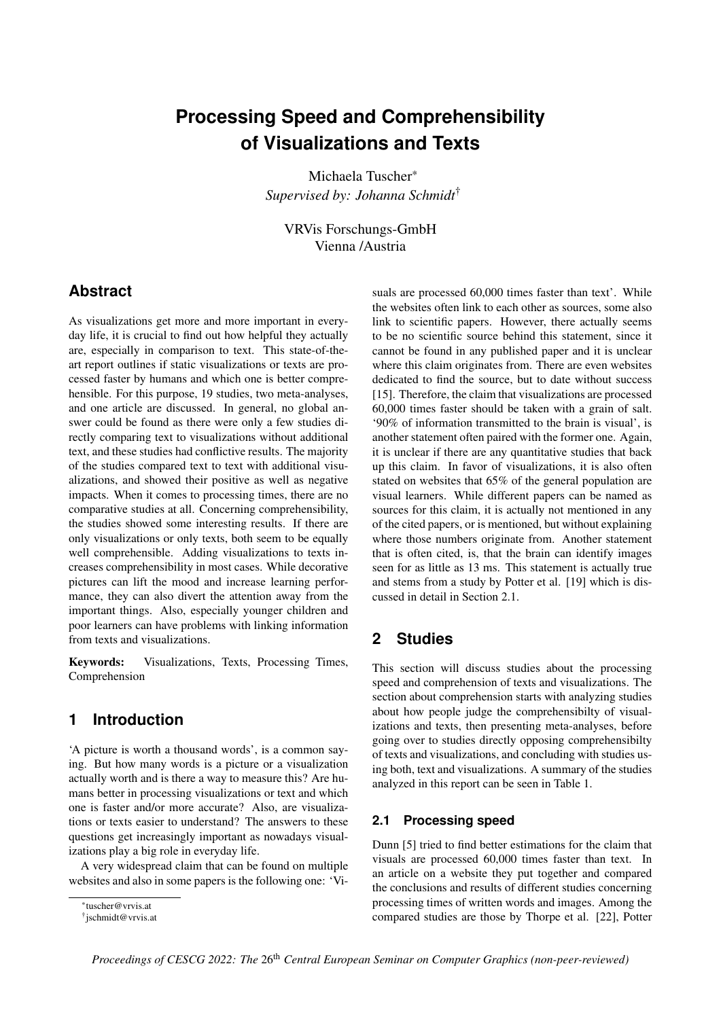# **Processing Speed and Comprehensibility of Visualizations and Texts**

Michaela Tuscher\* *Supervised by: Johanna Schmidt*†

VRVis Forschungs-GmbH Vienna /Austria

# **Abstract**

As visualizations get more and more important in everyday life, it is crucial to find out how helpful they actually are, especially in comparison to text. This state-of-theart report outlines if static visualizations or texts are processed faster by humans and which one is better comprehensible. For this purpose, 19 studies, two meta-analyses, and one article are discussed. In general, no global answer could be found as there were only a few studies directly comparing text to visualizations without additional text, and these studies had conflictive results. The majority of the studies compared text to text with additional visualizations, and showed their positive as well as negative impacts. When it comes to processing times, there are no comparative studies at all. Concerning comprehensibility, the studies showed some interesting results. If there are only visualizations or only texts, both seem to be equally well comprehensible. Adding visualizations to texts increases comprehensibility in most cases. While decorative pictures can lift the mood and increase learning performance, they can also divert the attention away from the important things. Also, especially younger children and poor learners can have problems with linking information from texts and visualizations.

Keywords: Visualizations, Texts, Processing Times, Comprehension

### **1 Introduction**

'A picture is worth a thousand words', is a common saying. But how many words is a picture or a visualization actually worth and is there a way to measure this? Are humans better in processing visualizations or text and which one is faster and/or more accurate? Also, are visualizations or texts easier to understand? The answers to these questions get increasingly important as nowadays visualizations play a big role in everyday life.

A very widespread claim that can be found on multiple websites and also in some papers is the following one: 'Visuals are processed 60,000 times faster than text'. While the websites often link to each other as sources, some also link to scientific papers. However, there actually seems to be no scientific source behind this statement, since it cannot be found in any published paper and it is unclear where this claim originates from. There are even websites dedicated to find the source, but to date without success [\[15\]](#page-7-0). Therefore, the claim that visualizations are processed 60,000 times faster should be taken with a grain of salt. '90% of information transmitted to the brain is visual', is another statement often paired with the former one. Again, it is unclear if there are any quantitative studies that back up this claim. In favor of visualizations, it is also often stated on websites that 65% of the general population are visual learners. While different papers can be named as sources for this claim, it is actually not mentioned in any of the cited papers, or is mentioned, but without explaining where those numbers originate from. Another statement that is often cited, is, that the brain can identify images seen for as little as 13 ms. This statement is actually true and stems from a study by Potter et al. [\[19\]](#page-7-1) which is discussed in detail in Section [2.1.](#page-0-0)

# **2 Studies**

This section will discuss studies about the processing speed and comprehension of texts and visualizations. The section about comprehension starts with analyzing studies about how people judge the comprehensibilty of visualizations and texts, then presenting meta-analyses, before going over to studies directly opposing comprehensibilty of texts and visualizations, and concluding with studies using both, text and visualizations. A summary of the studies analyzed in this report can be seen in Table [1.](#page-1-0)

### <span id="page-0-0"></span>**2.1 Processing speed**

Dunn [\[5\]](#page-7-2) tried to find better estimations for the claim that visuals are processed 60,000 times faster than text. In an article on a website they put together and compared the conclusions and results of different studies concerning processing times of written words and images. Among the compared studies are those by Thorpe et al. [\[22\]](#page-7-3), Potter

<sup>\*</sup>tuscher@vrvis.at

<sup>†</sup> jschmidt@vrvis.at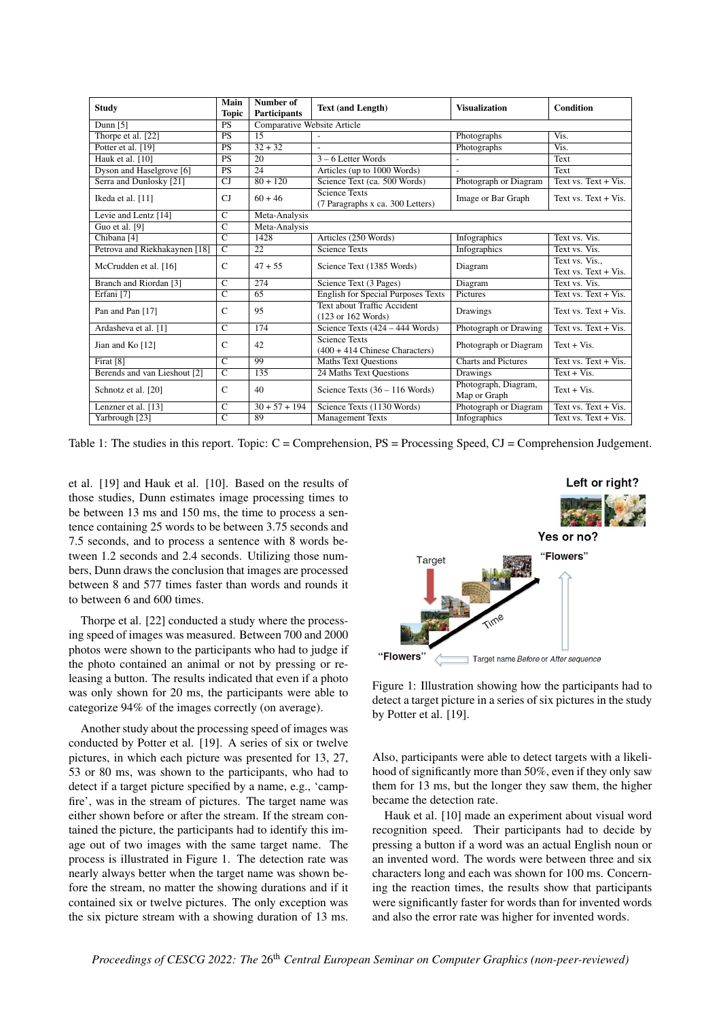<span id="page-1-0"></span>

| <b>Study</b>                  | Main<br><b>Topic</b>  | Number of<br><b>Participants</b> | <b>Text (and Length)</b>                                             | <b>Visualization</b>                 | Condition                              |
|-------------------------------|-----------------------|----------------------------------|----------------------------------------------------------------------|--------------------------------------|----------------------------------------|
| Dunn $[5]$                    | <b>PS</b>             | Comparative Website Article      |                                                                      |                                      |                                        |
| Thorpe et al. [22]            | $\overline{PS}$       | $\overline{15}$                  |                                                                      | Photographs                          | Vis.                                   |
| Potter et al. $\overline{19}$ | <b>PS</b>             | $32 + 32$                        | $\overline{a}$                                                       | Photographs                          | Vis.                                   |
| Hauk et al. [10]              | <b>PS</b>             | 20                               | $3 - 6$ Letter Words                                                 |                                      | Text                                   |
| Dyson and Haselgrove [6]      | <b>PS</b>             | 24                               | Articles (up to 1000 Words)                                          | $\overline{a}$                       | Text                                   |
| Serra and Dunlosky [21]       | CJ                    | $80 + 120$                       | Science Text (ca. 500 Words)                                         | Photograph or Diagram                | Text vs. $Text + Vis.$                 |
| Ikeda et al. [11]             | $C_{\rm J}$           | $60 + 46$                        | <b>Science Texts</b><br>(7 Paragraphs x ca. 300 Letters)             | Image or Bar Graph                   | Text vs. $Text + Vis.$                 |
| Levie and Lentz [14]          | $\overline{C}$        | Meta-Analysis                    |                                                                      |                                      |                                        |
| Guo et al. [9]                | $\overline{\text{c}}$ | Meta-Analysis                    |                                                                      |                                      |                                        |
| Chibana <sup>[4]</sup>        | $\overline{C}$        | 1428                             | Articles (250 Words)                                                 | Infographics                         | Text vs. Vis.                          |
| Petrova and Riekhakaynen [18] | $\overline{C}$        | 22                               | Science Texts                                                        | Infographics                         | Text vs. Vis.                          |
| McCrudden et al. [16]         | $\mathcal{C}$         | $47 + 55$                        | Science Text (1385 Words)                                            | Diagram                              | Text vs. Vis<br>Text vs. $Text + Vis.$ |
| Branch and Riordan [3]        | $\overline{C}$        | 274                              | Science Text (3 Pages)                                               | Diagram                              | Text vs. Vis.                          |
| Erfani [7]                    | $\overline{C}$        | 65                               | <b>English for Special Purposes Texts</b>                            | Pictures                             | Text vs. $Text + Vis.$                 |
| Pan and Pan [17]              | $\mathcal{C}$         | 95                               | Text about Traffic Accident<br>$(123 \text{ or } 162 \text{ Words})$ | Drawings                             | Text vs. Text $+$ Vis.                 |
| Ardasheva et al. [1]          | $\mathcal{C}$         | 174                              | Science Texts $(424 - 444$ Words)                                    | Photograph or Drawing                | Text vs. $Text + Vis.$                 |
| Jian and Ko [12]              | $\mathcal{C}$         | 42                               | <b>Science Texts</b><br>$(400 + 414)$ Chinese Characters)            | Photograph or Diagram                | $Text + Vis.$                          |
| Firat [8]                     | $\overline{C}$        | 99                               | <b>Maths Text Questions</b>                                          | <b>Charts and Pictures</b>           | Text vs. $Text + Vis.$                 |
| Berends and van Lieshout [2]  | $\overline{C}$        | 135                              | 24 Maths Text Questions                                              | Drawings                             | $Text + Vis.$                          |
| Schnotz et al. [20]           | $\mathcal{C}$         | 40                               | Science Texts $(36 - 116$ Words)                                     | Photograph, Diagram,<br>Map or Graph | $Text + Vis.$                          |
| Lenzner et al. [13]           | $\overline{c}$        | $30 + 57 + 194$                  | Science Texts (1130 Words)                                           | Photograph or Diagram                | Text vs. $Text + Vis.$                 |
| Yarbrough [23]                | $\overline{C}$        | 89                               | <b>Management Texts</b>                                              | Infographics                         | Text vs. $Text + Vis.$                 |

Table 1: The studies in this report. Topic: C = Comprehension, PS = Processing Speed, CJ = Comprehension Judgement.

et al. [\[19\]](#page-7-1) and Hauk et al. [\[10\]](#page-7-4). Based on the results of those studies, Dunn estimates image processing times to be between 13 ms and 150 ms, the time to process a sentence containing 25 words to be between 3.75 seconds and 7.5 seconds, and to process a sentence with 8 words between 1.2 seconds and 2.4 seconds. Utilizing those numbers, Dunn draws the conclusion that images are processed between 8 and 577 times faster than words and rounds it to between 6 and 600 times.

Thorpe et al. [\[22\]](#page-7-3) conducted a study where the processing speed of images was measured. Between 700 and 2000 photos were shown to the participants who had to judge if the photo contained an animal or not by pressing or releasing a button. The results indicated that even if a photo was only shown for 20 ms, the participants were able to categorize 94% of the images correctly (on average).

Another study about the processing speed of images was conducted by Potter et al. [\[19\]](#page-7-1). A series of six or twelve pictures, in which each picture was presented for 13, 27, 53 or 80 ms, was shown to the participants, who had to detect if a target picture specified by a name, e.g., 'campfire', was in the stream of pictures. The target name was either shown before or after the stream. If the stream contained the picture, the participants had to identify this image out of two images with the same target name. The process is illustrated in Figure [1.](#page-1-1) The detection rate was nearly always better when the target name was shown before the stream, no matter the showing durations and if it contained six or twelve pictures. The only exception was the six picture stream with a showing duration of 13 ms.

<span id="page-1-1"></span>

Figure 1: Illustration showing how the participants had to

detect a target picture in a series of six pictures in the study by Potter et al. [\[19\]](#page-7-1).

Also, participants were able to detect targets with a likelihood of significantly more than 50%, even if they only saw them for 13 ms, but the longer they saw them, the higher became the detection rate.

Hauk et al. [\[10\]](#page-7-4) made an experiment about visual word recognition speed. Their participants had to decide by pressing a button if a word was an actual English noun or an invented word. The words were between three and six characters long and each was shown for 100 ms. Concerning the reaction times, the results show that participants were significantly faster for words than for invented words and also the error rate was higher for invented words.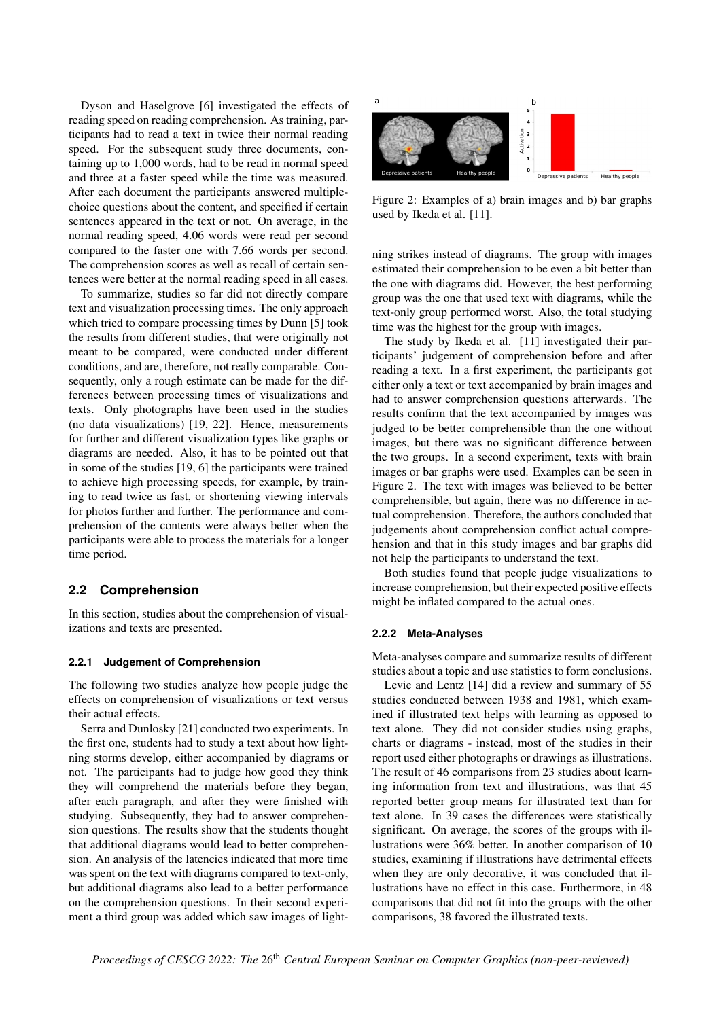Dyson and Haselgrove [\[6\]](#page-7-5) investigated the effects of reading speed on reading comprehension. As training, participants had to read a text in twice their normal reading speed. For the subsequent study three documents, containing up to 1,000 words, had to be read in normal speed and three at a faster speed while the time was measured. After each document the participants answered multiplechoice questions about the content, and specified if certain sentences appeared in the text or not. On average, in the normal reading speed, 4.06 words were read per second compared to the faster one with 7.66 words per second. The comprehension scores as well as recall of certain sentences were better at the normal reading speed in all cases.

To summarize, studies so far did not directly compare text and visualization processing times. The only approach which tried to compare processing times by Dunn [\[5\]](#page-7-2) took the results from different studies, that were originally not meant to be compared, were conducted under different conditions, and are, therefore, not really comparable. Consequently, only a rough estimate can be made for the differences between processing times of visualizations and texts. Only photographs have been used in the studies (no data visualizations) [\[19,](#page-7-1) [22\]](#page-7-3). Hence, measurements for further and different visualization types like graphs or diagrams are needed. Also, it has to be pointed out that in some of the studies [\[19,](#page-7-1) [6\]](#page-7-5) the participants were trained to achieve high processing speeds, for example, by training to read twice as fast, or shortening viewing intervals for photos further and further. The performance and comprehension of the contents were always better when the participants were able to process the materials for a longer time period.

### <span id="page-2-1"></span>**2.2 Comprehension**

In this section, studies about the comprehension of visualizations and texts are presented.

#### **2.2.1 Judgement of Comprehension**

The following two studies analyze how people judge the effects on comprehension of visualizations or text versus their actual effects.

Serra and Dunlosky [\[21\]](#page-7-6) conducted two experiments. In the first one, students had to study a text about how lightning storms develop, either accompanied by diagrams or not. The participants had to judge how good they think they will comprehend the materials before they began, after each paragraph, and after they were finished with studying. Subsequently, they had to answer comprehension questions. The results show that the students thought that additional diagrams would lead to better comprehension. An analysis of the latencies indicated that more time was spent on the text with diagrams compared to text-only, but additional diagrams also lead to a better performance on the comprehension questions. In their second experiment a third group was added which saw images of light-

<span id="page-2-0"></span>

Figure 2: Examples of a) brain images and b) bar graphs used by Ikeda et al. [\[11\]](#page-7-7).

ning strikes instead of diagrams. The group with images estimated their comprehension to be even a bit better than the one with diagrams did. However, the best performing group was the one that used text with diagrams, while the text-only group performed worst. Also, the total studying time was the highest for the group with images.

The study by Ikeda et al. [\[11\]](#page-7-7) investigated their participants' judgement of comprehension before and after reading a text. In a first experiment, the participants got either only a text or text accompanied by brain images and had to answer comprehension questions afterwards. The results confirm that the text accompanied by images was judged to be better comprehensible than the one without images, but there was no significant difference between the two groups. In a second experiment, texts with brain images or bar graphs were used. Examples can be seen in Figure [2.](#page-2-0) The text with images was believed to be better comprehensible, but again, there was no difference in actual comprehension. Therefore, the authors concluded that judgements about comprehension conflict actual comprehension and that in this study images and bar graphs did not help the participants to understand the text.

Both studies found that people judge visualizations to increase comprehension, but their expected positive effects might be inflated compared to the actual ones.

#### **2.2.2 Meta-Analyses**

Meta-analyses compare and summarize results of different studies about a topic and use statistics to form conclusions.

Levie and Lentz [\[14\]](#page-7-8) did a review and summary of 55 studies conducted between 1938 and 1981, which examined if illustrated text helps with learning as opposed to text alone. They did not consider studies using graphs, charts or diagrams - instead, most of the studies in their report used either photographs or drawings as illustrations. The result of 46 comparisons from 23 studies about learning information from text and illustrations, was that 45 reported better group means for illustrated text than for text alone. In 39 cases the differences were statistically significant. On average, the scores of the groups with illustrations were 36% better. In another comparison of 10 studies, examining if illustrations have detrimental effects when they are only decorative, it was concluded that illustrations have no effect in this case. Furthermore, in 48 comparisons that did not fit into the groups with the other comparisons, 38 favored the illustrated texts.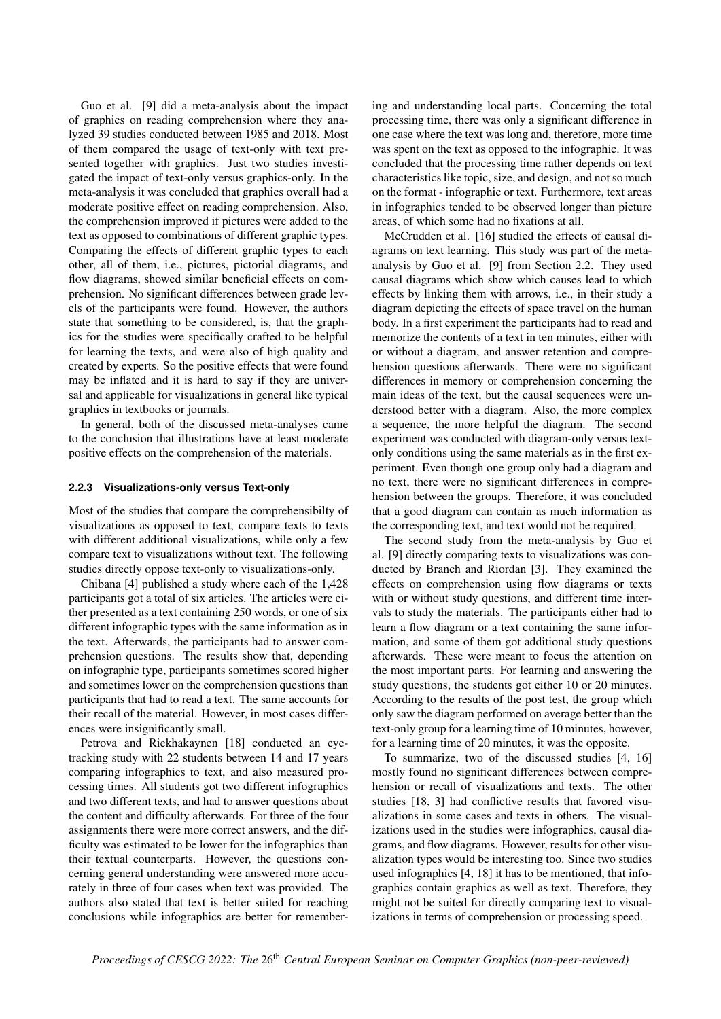Guo et al. [\[9\]](#page-7-9) did a meta-analysis about the impact of graphics on reading comprehension where they analyzed 39 studies conducted between 1985 and 2018. Most of them compared the usage of text-only with text presented together with graphics. Just two studies investigated the impact of text-only versus graphics-only. In the meta-analysis it was concluded that graphics overall had a moderate positive effect on reading comprehension. Also, the comprehension improved if pictures were added to the text as opposed to combinations of different graphic types. Comparing the effects of different graphic types to each other, all of them, i.e., pictures, pictorial diagrams, and flow diagrams, showed similar beneficial effects on comprehension. No significant differences between grade levels of the participants were found. However, the authors state that something to be considered, is, that the graphics for the studies were specifically crafted to be helpful for learning the texts, and were also of high quality and created by experts. So the positive effects that were found may be inflated and it is hard to say if they are universal and applicable for visualizations in general like typical graphics in textbooks or journals.

In general, both of the discussed meta-analyses came to the conclusion that illustrations have at least moderate positive effects on the comprehension of the materials.

#### **2.2.3 Visualizations-only versus Text-only**

Most of the studies that compare the comprehensibilty of visualizations as opposed to text, compare texts to texts with different additional visualizations, while only a few compare text to visualizations without text. The following studies directly oppose text-only to visualizations-only.

Chibana [\[4\]](#page-7-10) published a study where each of the 1,428 participants got a total of six articles. The articles were either presented as a text containing 250 words, or one of six different infographic types with the same information as in the text. Afterwards, the participants had to answer comprehension questions. The results show that, depending on infographic type, participants sometimes scored higher and sometimes lower on the comprehension questions than participants that had to read a text. The same accounts for their recall of the material. However, in most cases differences were insignificantly small.

Petrova and Riekhakaynen [\[18\]](#page-7-11) conducted an eyetracking study with 22 students between 14 and 17 years comparing infographics to text, and also measured processing times. All students got two different infographics and two different texts, and had to answer questions about the content and difficulty afterwards. For three of the four assignments there were more correct answers, and the difficulty was estimated to be lower for the infographics than their textual counterparts. However, the questions concerning general understanding were answered more accurately in three of four cases when text was provided. The authors also stated that text is better suited for reaching conclusions while infographics are better for remembering and understanding local parts. Concerning the total processing time, there was only a significant difference in one case where the text was long and, therefore, more time was spent on the text as opposed to the infographic. It was concluded that the processing time rather depends on text characteristics like topic, size, and design, and not so much on the format - infographic or text. Furthermore, text areas in infographics tended to be observed longer than picture areas, of which some had no fixations at all.

McCrudden et al. [\[16\]](#page-7-12) studied the effects of causal diagrams on text learning. This study was part of the metaanalysis by Guo et al. [\[9\]](#page-7-9) from Section [2.2.](#page-2-1) They used causal diagrams which show which causes lead to which effects by linking them with arrows, i.e., in their study a diagram depicting the effects of space travel on the human body. In a first experiment the participants had to read and memorize the contents of a text in ten minutes, either with or without a diagram, and answer retention and comprehension questions afterwards. There were no significant differences in memory or comprehension concerning the main ideas of the text, but the causal sequences were understood better with a diagram. Also, the more complex a sequence, the more helpful the diagram. The second experiment was conducted with diagram-only versus textonly conditions using the same materials as in the first experiment. Even though one group only had a diagram and no text, there were no significant differences in comprehension between the groups. Therefore, it was concluded that a good diagram can contain as much information as the corresponding text, and text would not be required.

The second study from the meta-analysis by Guo et al. [\[9\]](#page-7-9) directly comparing texts to visualizations was conducted by Branch and Riordan [\[3\]](#page-7-13). They examined the effects on comprehension using flow diagrams or texts with or without study questions, and different time intervals to study the materials. The participants either had to learn a flow diagram or a text containing the same information, and some of them got additional study questions afterwards. These were meant to focus the attention on the most important parts. For learning and answering the study questions, the students got either 10 or 20 minutes. According to the results of the post test, the group which only saw the diagram performed on average better than the text-only group for a learning time of 10 minutes, however, for a learning time of 20 minutes, it was the opposite.

To summarize, two of the discussed studies [\[4,](#page-7-10) [16\]](#page-7-12) mostly found no significant differences between comprehension or recall of visualizations and texts. The other studies [\[18,](#page-7-11) [3\]](#page-7-13) had conflictive results that favored visualizations in some cases and texts in others. The visualizations used in the studies were infographics, causal diagrams, and flow diagrams. However, results for other visualization types would be interesting too. Since two studies used infographics [\[4,](#page-7-10) [18\]](#page-7-11) it has to be mentioned, that infographics contain graphics as well as text. Therefore, they might not be suited for directly comparing text to visualizations in terms of comprehension or processing speed.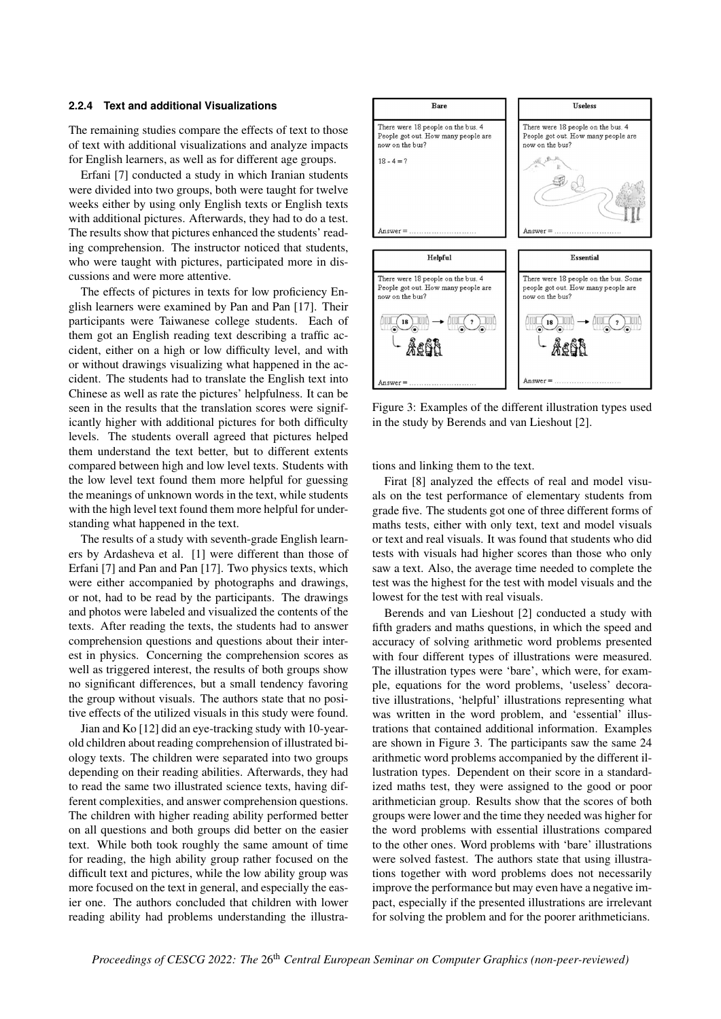#### **2.2.4 Text and additional Visualizations**

The remaining studies compare the effects of text to those of text with additional visualizations and analyze impacts for English learners, as well as for different age groups.

Erfani [\[7\]](#page-7-14) conducted a study in which Iranian students were divided into two groups, both were taught for twelve weeks either by using only English texts or English texts with additional pictures. Afterwards, they had to do a test. The results show that pictures enhanced the students' reading comprehension. The instructor noticed that students, who were taught with pictures, participated more in discussions and were more attentive.

The effects of pictures in texts for low proficiency English learners were examined by Pan and Pan [\[17\]](#page-7-15). Their participants were Taiwanese college students. Each of them got an English reading text describing a traffic accident, either on a high or low difficulty level, and with or without drawings visualizing what happened in the accident. The students had to translate the English text into Chinese as well as rate the pictures' helpfulness. It can be seen in the results that the translation scores were significantly higher with additional pictures for both difficulty levels. The students overall agreed that pictures helped them understand the text better, but to different extents compared between high and low level texts. Students with the low level text found them more helpful for guessing the meanings of unknown words in the text, while students with the high level text found them more helpful for understanding what happened in the text.

The results of a study with seventh-grade English learners by Ardasheva et al. [\[1\]](#page-6-0) were different than those of Erfani [\[7\]](#page-7-14) and Pan and Pan [\[17\]](#page-7-15). Two physics texts, which were either accompanied by photographs and drawings, or not, had to be read by the participants. The drawings and photos were labeled and visualized the contents of the texts. After reading the texts, the students had to answer comprehension questions and questions about their interest in physics. Concerning the comprehension scores as well as triggered interest, the results of both groups show no significant differences, but a small tendency favoring the group without visuals. The authors state that no positive effects of the utilized visuals in this study were found.

Jian and Ko [\[12\]](#page-7-16) did an eye-tracking study with 10-yearold children about reading comprehension of illustrated biology texts. The children were separated into two groups depending on their reading abilities. Afterwards, they had to read the same two illustrated science texts, having different complexities, and answer comprehension questions. The children with higher reading ability performed better on all questions and both groups did better on the easier text. While both took roughly the same amount of time for reading, the high ability group rather focused on the difficult text and pictures, while the low ability group was more focused on the text in general, and especially the easier one. The authors concluded that children with lower reading ability had problems understanding the illustra-

<span id="page-4-0"></span>

Figure 3: Examples of the different illustration types used in the study by Berends and van Lieshout [\[2\]](#page-6-1).

tions and linking them to the text.

Firat [\[8\]](#page-7-17) analyzed the effects of real and model visuals on the test performance of elementary students from grade five. The students got one of three different forms of maths tests, either with only text, text and model visuals or text and real visuals. It was found that students who did tests with visuals had higher scores than those who only saw a text. Also, the average time needed to complete the test was the highest for the test with model visuals and the lowest for the test with real visuals.

Berends and van Lieshout [\[2\]](#page-6-1) conducted a study with fifth graders and maths questions, in which the speed and accuracy of solving arithmetic word problems presented with four different types of illustrations were measured. The illustration types were 'bare', which were, for example, equations for the word problems, 'useless' decorative illustrations, 'helpful' illustrations representing what was written in the word problem, and 'essential' illustrations that contained additional information. Examples are shown in Figure [3.](#page-4-0) The participants saw the same 24 arithmetic word problems accompanied by the different illustration types. Dependent on their score in a standardized maths test, they were assigned to the good or poor arithmetician group. Results show that the scores of both groups were lower and the time they needed was higher for the word problems with essential illustrations compared to the other ones. Word problems with 'bare' illustrations were solved fastest. The authors state that using illustrations together with word problems does not necessarily improve the performance but may even have a negative impact, especially if the presented illustrations are irrelevant for solving the problem and for the poorer arithmeticians.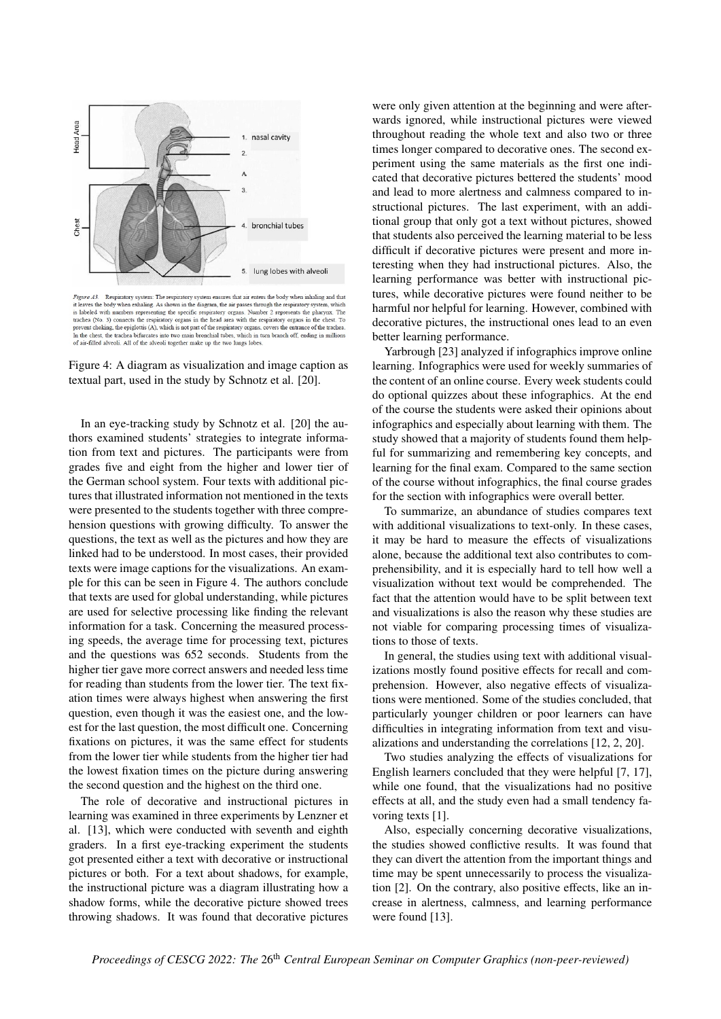<span id="page-5-0"></span>

Figure A3. Respiratory system: The respiratory system ensures that air enters the body when inhaling and that *F* gave *R*. *Newhavel system. En Coptanois y system. Like the system with the system when the system when the system when the system when the system when the system when the system which is labeled with numbers represent* In the chest, the trachea bifurcates into two main bronchial tubes, which in turn branch off, ending in millions of air-filled alveoli. All of the alveoli together make up the two lungs lobes

Figure 4: A diagram as visualization and image caption as textual part, used in the study by Schnotz et al. [\[20\]](#page-7-18).

In an eye-tracking study by Schnotz et al. [\[20\]](#page-7-18) the authors examined students' strategies to integrate information from text and pictures. The participants were from grades five and eight from the higher and lower tier of the German school system. Four texts with additional pictures that illustrated information not mentioned in the texts were presented to the students together with three comprehension questions with growing difficulty. To answer the questions, the text as well as the pictures and how they are linked had to be understood. In most cases, their provided texts were image captions for the visualizations. An example for this can be seen in Figure [4.](#page-5-0) The authors conclude that texts are used for global understanding, while pictures are used for selective processing like finding the relevant information for a task. Concerning the measured processing speeds, the average time for processing text, pictures and the questions was 652 seconds. Students from the higher tier gave more correct answers and needed less time for reading than students from the lower tier. The text fixation times were always highest when answering the first question, even though it was the easiest one, and the lowest for the last question, the most difficult one. Concerning fixations on pictures, it was the same effect for students from the lower tier while students from the higher tier had the lowest fixation times on the picture during answering the second question and the highest on the third one.

The role of decorative and instructional pictures in learning was examined in three experiments by Lenzner et al. [\[13\]](#page-7-19), which were conducted with seventh and eighth graders. In a first eye-tracking experiment the students got presented either a text with decorative or instructional pictures or both. For a text about shadows, for example, the instructional picture was a diagram illustrating how a shadow forms, while the decorative picture showed trees throwing shadows. It was found that decorative pictures

were only given attention at the beginning and were afterwards ignored, while instructional pictures were viewed throughout reading the whole text and also two or three times longer compared to decorative ones. The second experiment using the same materials as the first one indicated that decorative pictures bettered the students' mood and lead to more alertness and calmness compared to instructional pictures. The last experiment, with an additional group that only got a text without pictures, showed that students also perceived the learning material to be less difficult if decorative pictures were present and more interesting when they had instructional pictures. Also, the learning performance was better with instructional pictures, while decorative pictures were found neither to be harmful nor helpful for learning. However, combined with decorative pictures, the instructional ones lead to an even better learning performance.

Yarbrough [\[23\]](#page-7-20) analyzed if infographics improve online learning. Infographics were used for weekly summaries of the content of an online course. Every week students could do optional quizzes about these infographics. At the end of the course the students were asked their opinions about infographics and especially about learning with them. The study showed that a majority of students found them helpful for summarizing and remembering key concepts, and learning for the final exam. Compared to the same section of the course without infographics, the final course grades for the section with infographics were overall better.

To summarize, an abundance of studies compares text with additional visualizations to text-only. In these cases, it may be hard to measure the effects of visualizations alone, because the additional text also contributes to comprehensibility, and it is especially hard to tell how well a visualization without text would be comprehended. The fact that the attention would have to be split between text and visualizations is also the reason why these studies are not viable for comparing processing times of visualizations to those of texts.

In general, the studies using text with additional visualizations mostly found positive effects for recall and comprehension. However, also negative effects of visualizations were mentioned. Some of the studies concluded, that particularly younger children or poor learners can have difficulties in integrating information from text and visualizations and understanding the correlations [\[12,](#page-7-16) [2,](#page-6-1) [20\]](#page-7-18).

Two studies analyzing the effects of visualizations for English learners concluded that they were helpful [\[7,](#page-7-14) [17\]](#page-7-15), while one found, that the visualizations had no positive effects at all, and the study even had a small tendency favoring texts [\[1\]](#page-6-0).

Also, especially concerning decorative visualizations, the studies showed conflictive results. It was found that they can divert the attention from the important things and time may be spent unnecessarily to process the visualization [\[2\]](#page-6-1). On the contrary, also positive effects, like an increase in alertness, calmness, and learning performance were found [\[13\]](#page-7-19).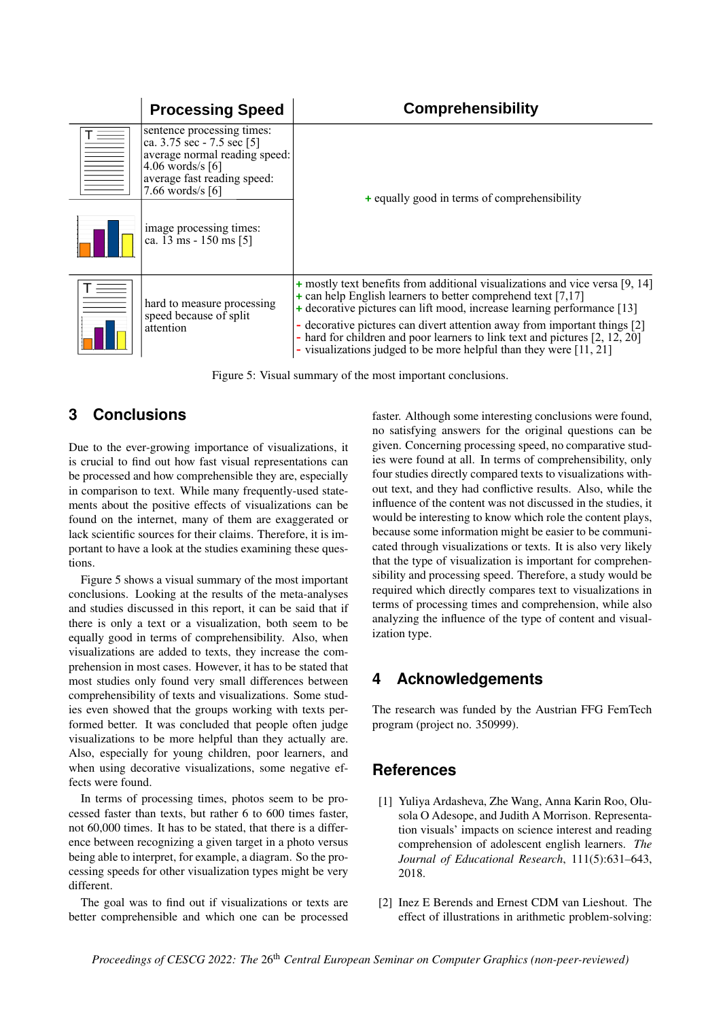<span id="page-6-2"></span>

| <b>Processing Speed</b>                                                                                                                                                | <b>Comprehensibility</b>                                                                                                                                                                                                                                                                                                                                                                                                                                        |  |  |
|------------------------------------------------------------------------------------------------------------------------------------------------------------------------|-----------------------------------------------------------------------------------------------------------------------------------------------------------------------------------------------------------------------------------------------------------------------------------------------------------------------------------------------------------------------------------------------------------------------------------------------------------------|--|--|
| sentence processing times:<br>ca. 3.75 sec - 7.5 sec [5]<br>average normal reading speed:<br>$4.06$ words/s $[6]$<br>average fast reading speed:<br>7.66 words/s $[6]$ | $+$ equally good in terms of comprehensibility                                                                                                                                                                                                                                                                                                                                                                                                                  |  |  |
| image processing times:<br>ca. 13 ms - 150 ms [5]                                                                                                                      |                                                                                                                                                                                                                                                                                                                                                                                                                                                                 |  |  |
| hard to measure processing<br>speed because of split<br>attention                                                                                                      | + mostly text benefits from additional visualizations and vice versa [9, 14]<br>$+$ can help English learners to better comprehend text [7,17]<br>+ decorative pictures can lift mood, increase learning performance [13]<br>- decorative pictures can divert attention away from important things [2]<br>- hard for children and poor learners to link text and pictures $[2, 12, 20]$<br>- visualizations judged to be more helpful than they were $[11, 21]$ |  |  |

Figure 5: Visual summary of the most important conclusions.

### **3 Conclusions**

Due to the ever-growing importance of visualizations, it is crucial to find out how fast visual representations can be processed and how comprehensible they are, especially in comparison to text. While many frequently-used statements about the positive effects of visualizations can be found on the internet, many of them are exaggerated or lack scientific sources for their claims. Therefore, it is important to have a look at the studies examining these questions.

Figure [5](#page-6-2) shows a visual summary of the most important conclusions. Looking at the results of the meta-analyses and studies discussed in this report, it can be said that if there is only a text or a visualization, both seem to be equally good in terms of comprehensibility. Also, when visualizations are added to texts, they increase the comprehension in most cases. However, it has to be stated that most studies only found very small differences between comprehensibility of texts and visualizations. Some studies even showed that the groups working with texts performed better. It was concluded that people often judge visualizations to be more helpful than they actually are. Also, especially for young children, poor learners, and when using decorative visualizations, some negative effects were found.

In terms of processing times, photos seem to be processed faster than texts, but rather 6 to 600 times faster, not 60,000 times. It has to be stated, that there is a difference between recognizing a given target in a photo versus being able to interpret, for example, a diagram. So the processing speeds for other visualization types might be very different.

The goal was to find out if visualizations or texts are better comprehensible and which one can be processed

faster. Although some interesting conclusions were found, no satisfying answers for the original questions can be given. Concerning processing speed, no comparative studies were found at all. In terms of comprehensibility, only four studies directly compared texts to visualizations without text, and they had conflictive results. Also, while the influence of the content was not discussed in the studies, it would be interesting to know which role the content plays, because some information might be easier to be communicated through visualizations or texts. It is also very likely that the type of visualization is important for comprehensibility and processing speed. Therefore, a study would be required which directly compares text to visualizations in terms of processing times and comprehension, while also analyzing the influence of the type of content and visualization type.

### **4 Acknowledgements**

The research was funded by the Austrian FFG FemTech program (project no. 350999).

### **References**

- <span id="page-6-0"></span>[1] Yuliya Ardasheva, Zhe Wang, Anna Karin Roo, Olusola O Adesope, and Judith A Morrison. Representation visuals' impacts on science interest and reading comprehension of adolescent english learners. *The Journal of Educational Research*, 111(5):631–643, 2018.
- <span id="page-6-1"></span>[2] Inez E Berends and Ernest CDM van Lieshout. The effect of illustrations in arithmetic problem-solving: